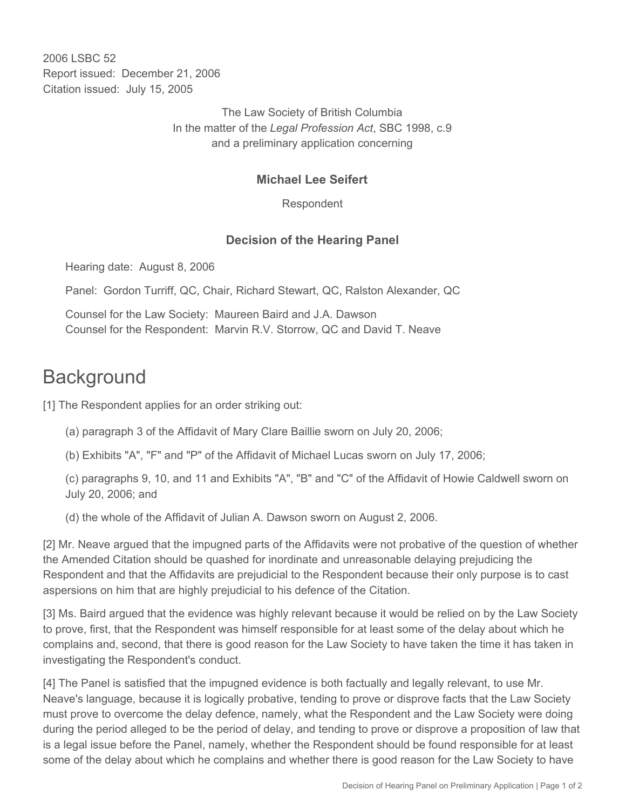2006 LSBC 52 Report issued: December 21, 2006 Citation issued: July 15, 2005

> The Law Society of British Columbia In the matter of the *Legal Profession Act*, SBC 1998, c.9 and a preliminary application concerning

## **Michael Lee Seifert**

Respondent

## **Decision of the Hearing Panel**

Hearing date: August 8, 2006

Panel: Gordon Turriff, QC, Chair, Richard Stewart, QC, Ralston Alexander, QC

Counsel for the Law Society: Maureen Baird and J.A. Dawson Counsel for the Respondent: Marvin R.V. Storrow, QC and David T. Neave

## **Background**

[1] The Respondent applies for an order striking out:

- (a) paragraph 3 of the Affidavit of Mary Clare Baillie sworn on July 20, 2006;
- (b) Exhibits "A", "F" and "P" of the Affidavit of Michael Lucas sworn on July 17, 2006;

(c) paragraphs 9, 10, and 11 and Exhibits "A", "B" and "C" of the Affidavit of Howie Caldwell sworn on July 20, 2006; and

(d) the whole of the Affidavit of Julian A. Dawson sworn on August 2, 2006.

[2] Mr. Neave argued that the impugned parts of the Affidavits were not probative of the question of whether the Amended Citation should be quashed for inordinate and unreasonable delaying prejudicing the Respondent and that the Affidavits are prejudicial to the Respondent because their only purpose is to cast aspersions on him that are highly prejudicial to his defence of the Citation.

[3] Ms. Baird argued that the evidence was highly relevant because it would be relied on by the Law Society to prove, first, that the Respondent was himself responsible for at least some of the delay about which he complains and, second, that there is good reason for the Law Society to have taken the time it has taken in investigating the Respondent's conduct.

[4] The Panel is satisfied that the impugned evidence is both factually and legally relevant, to use Mr. Neave's language, because it is logically probative, tending to prove or disprove facts that the Law Society must prove to overcome the delay defence, namely, what the Respondent and the Law Society were doing during the period alleged to be the period of delay, and tending to prove or disprove a proposition of law that is a legal issue before the Panel, namely, whether the Respondent should be found responsible for at least some of the delay about which he complains and whether there is good reason for the Law Society to have